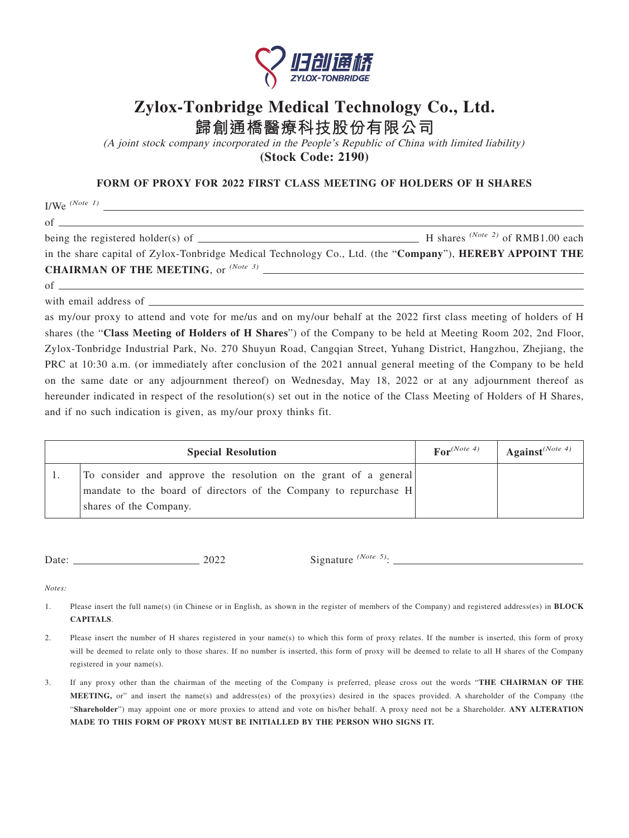

## **Zylox-Tonbridge Medical Technology Co., Ltd.**

**歸創通橋醫療科技股份有限公司**

(A joint stock company incorporated in the People's Republic of China with limited liability) **(Stock Code: 2190)**

**FORM OF PROXY FOR 2022 FIRST CLASS MEETING OF HOLDERS OF H SHARES**

I/We *(Note 1)*

 $of$   $\qquad$ 

being the registered holder(s) of  $\overline{\phantom{a}}$  H shares <sup>(Note 2)</sup> of RMB1.00 each

in the share capital of Zylox-Tonbridge Medical Technology Co., Ltd. (the "**Company**"), **HEREBY APPOINT THE CHAIRMAN OF THE MEETING**, or *(Note 3)*

of

with email address of \_\_\_\_\_\_\_\_

as my/our proxy to attend and vote for me/us and on my/our behalf at the 2022 first class meeting of holders of H shares (the "**Class Meeting of Holders of H Shares**") of the Company to be held at Meeting Room 202, 2nd Floor, Zylox-Tonbridge Industrial Park, No. 270 Shuyun Road, Cangqian Street, Yuhang District, Hangzhou, Zhejiang, the PRC at 10:30 a.m. (or immediately after conclusion of the 2021 annual general meeting of the Company to be held on the same date or any adjournment thereof) on Wednesday, May 18, 2022 or at any adjournment thereof as hereunder indicated in respect of the resolution(s) set out in the notice of the Class Meeting of Holders of H Shares, and if no such indication is given, as my/our proxy thinks fit.

| <b>Special Resolution</b>                                                                                                                                        | $\text{For}^{(Note 4)}$ | Against <sup>(Note 4)</sup> |
|------------------------------------------------------------------------------------------------------------------------------------------------------------------|-------------------------|-----------------------------|
| To consider and approve the resolution on the grant of a general<br>mandate to the board of directors of the Company to repurchase $H$<br>shares of the Company. |                         |                             |

Date: 2022 Signature <sup>(Note 5)</sup>:

*Notes:*

- 1. Please insert the full name(s) (in Chinese or in English, as shown in the register of members of the Company) and registered address(es) in **BLOCK CAPITALS**.
- 2. Please insert the number of H shares registered in your name(s) to which this form of proxy relates. If the number is inserted, this form of proxy will be deemed to relate only to those shares. If no number is inserted, this form of proxy will be deemed to relate to all H shares of the Company registered in your name(s).
- 3. If any proxy other than the chairman of the meeting of the Company is preferred, please cross out the words "**THE CHAIRMAN OF THE MEETING,** or" and insert the name(s) and address(es) of the proxy(ies) desired in the spaces provided. A shareholder of the Company (the "**Shareholder**") may appoint one or more proxies to attend and vote on his/her behalf. A proxy need not be a Shareholder. **ANY ALTERATION MADE TO THIS FORM OF PROXY MUST BE INITIALLED BY THE PERSON WHO SIGNS IT.**